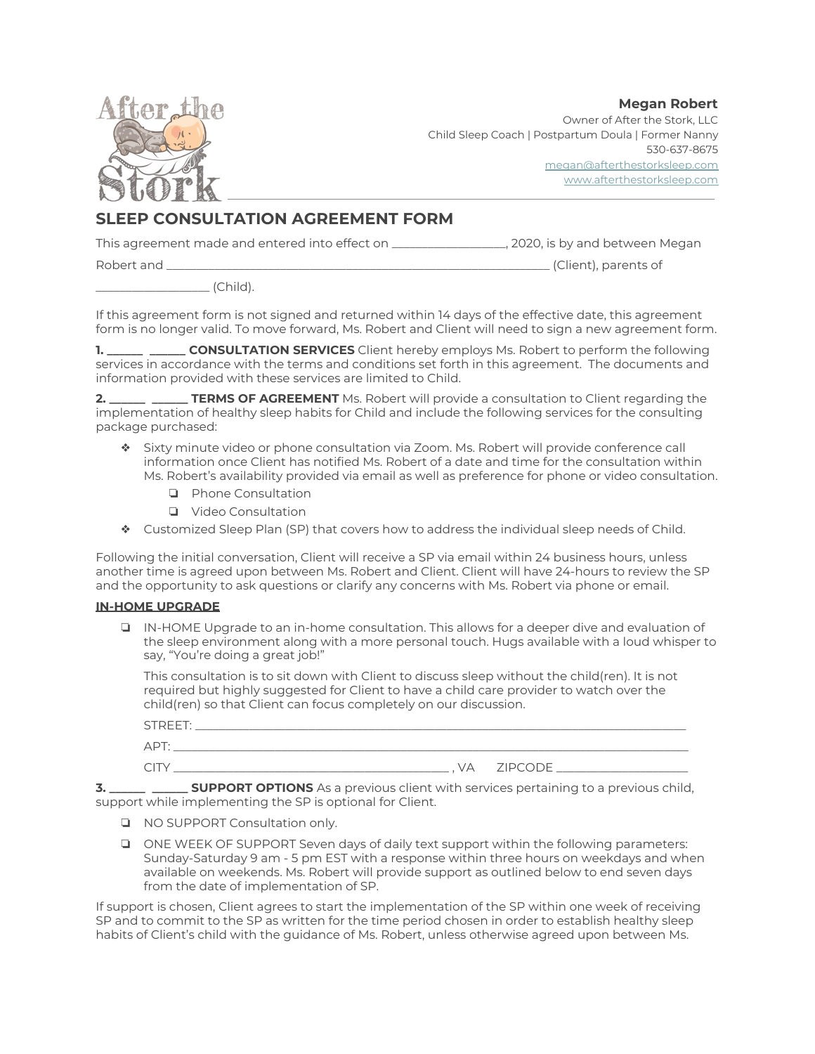**Megan Robert**



Owner of After the Stork, LLC Child Sleep Coach | Postpartum Doula | Former Nanny 530-637-8675 [megan@afterthestorksleep.com](mailto:megan@afterthestorksleep.com) [www.afterthestorksleep.com](http://www.afterthestorksleep.com/)

# **SLEEP CONSULTATION AGREEMENT FORM**

This agreement made and entered into effect on \_\_\_\_\_\_\_\_\_\_\_\_\_\_\_\_\_\_\_, 2020, is by and between Megan

Robert and \_\_\_\_\_\_\_\_\_\_\_\_\_\_\_\_\_\_\_\_\_\_\_\_\_\_\_\_\_\_\_\_\_\_\_\_\_\_\_\_\_\_\_\_\_\_\_\_\_\_\_\_\_\_\_\_\_\_\_\_\_\_\_\_ (Client), parents of

\_\_\_\_\_\_\_\_\_\_\_\_\_\_\_\_\_\_\_ (Child).

If this agreement form is not signed and returned within 14 days of the effective date, this agreement form is no longer valid. To move forward, Ms. Robert and Client will need to sign a new agreement form.

**1. \_\_\_\_\_\_ \_\_\_\_\_\_ CONSULTATION SERVICES** Client hereby employs Ms. Robert to perform the following services in accordance with the terms and conditions set forth in this agreement. The documents and information provided with these services are limited to Child.

**2. \_\_\_\_\_\_ \_\_\_\_\_\_ TERMS OF AGREEMENT** Ms. Robert will provide a consultation to Client regarding the implementation of healthy sleep habits for Child and include the following services for the consulting package purchased:

- ❖ Sixty minute video or phone consultation via Zoom. Ms. Robert will provide conference call information once Client has notified Ms. Robert of a date and time for the consultation within Ms. Robert's availability provided via email as well as preference for phone or video consultation.
	- ❏ Phone Consultation
	- ❏ Video Consultation
- ❖ Customized Sleep Plan (SP) that covers how to address the individual sleep needs of Child.

Following the initial conversation, Client will receive a SP via email within 24 business hours, unless another time is agreed upon between Ms. Robert and Client. Client will have 24-hours to review the SP and the opportunity to ask questions or clarify any concerns with Ms. Robert via phone or email.

## **IN-HOME UPGRADE**

❏ IN-HOME Upgrade to an in-home consultation. This allows for a deeper dive and evaluation of the sleep environment along with a more personal touch. Hugs available with a loud whisper to say, "You're doing a great job!"

This consultation is to sit down with Client to discuss sleep without the child(ren). It is not required but highly suggested for Client to have a child care provider to watch over the child(ren) so that Client can focus completely on our discussion.

| STREET:  |              |
|----------|--------------|
| APT:     |              |
| $\cap$ T | . VA ZIPCODE |

**3. \_\_\_\_\_\_ \_\_\_\_\_\_ SUPPORT OPTIONS** As a previous client with services pertaining to a previous child, support while implementing the SP is optional for Client.

- ❏ NO SUPPORT Consultation only.
- ❏ ONE WEEK OF SUPPORT Seven days of daily text support within the following parameters: Sunday-Saturday 9 am - 5 pm EST with a response within three hours on weekdays and when available on weekends. Ms. Robert will provide support as outlined below to end seven days from the date of implementation of SP.

If support is chosen, Client agrees to start the implementation of the SP within one week of receiving SP and to commit to the SP as written for the time period chosen in order to establish healthy sleep habits of Client's child with the guidance of Ms. Robert, unless otherwise agreed upon between Ms.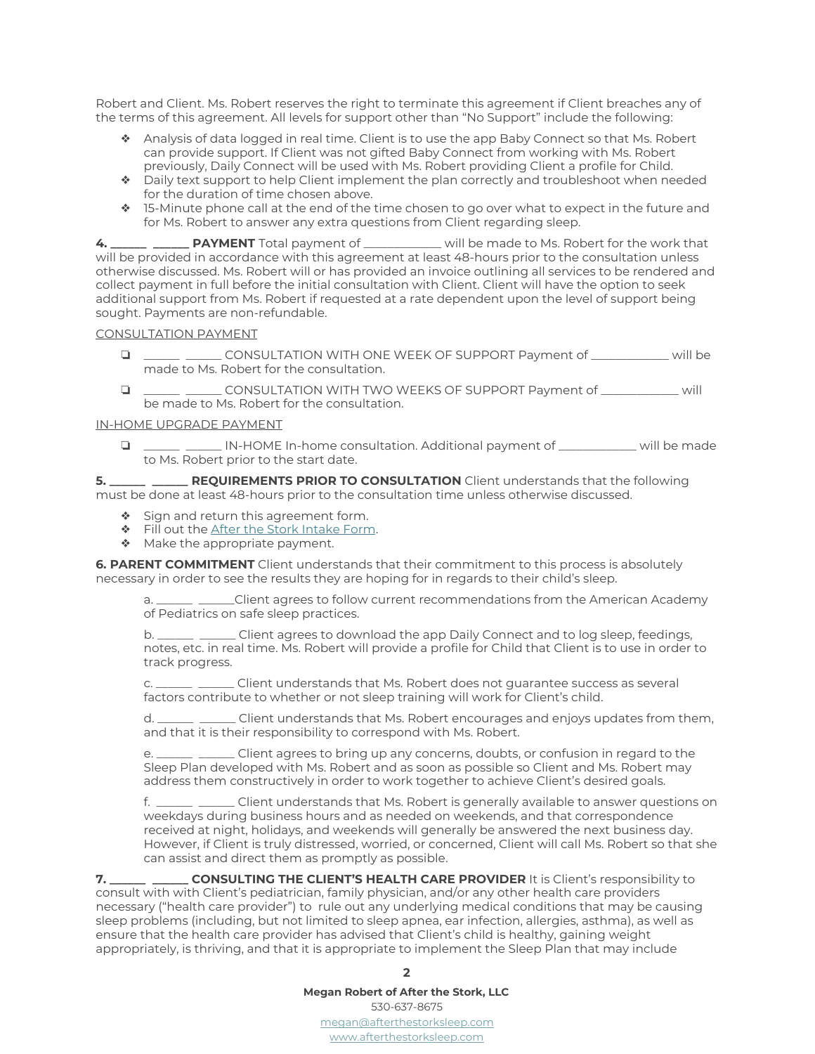Robert and Client. Ms. Robert reserves the right to terminate this agreement if Client breaches any of the terms of this agreement. All levels for support other than "No Support" include the following:

- ❖ Analysis of data logged in real time. Client is to use the app Baby Connect so that Ms. Robert can provide support. If Client was not gifted Baby Connect from working with Ms. Robert previously, Daily Connect will be used with Ms. Robert providing Client a profile for Child.
- ❖ Daily text support to help Client implement the plan correctly and troubleshoot when needed for the duration of time chosen above.
- ❖ 15-Minute phone call at the end of the time chosen to go over what to expect in the future and for Ms. Robert to answer any extra questions from Client regarding sleep.

**4. \_\_\_\_\_\_ \_\_\_\_\_\_ PAYMENT** Total payment of \_\_\_\_\_\_\_\_\_\_\_\_\_ will be made to Ms. Robert for the work that will be provided in accordance with this agreement at least 48-hours prior to the consultation unless otherwise discussed. Ms. Robert will or has provided an invoice outlining all services to be rendered and collect payment in full before the initial consultation with Client. Client will have the option to seek additional support from Ms. Robert if requested at a rate dependent upon the level of support being sought. Payments are non-refundable.

#### CONSULTATION PAYMENT

- ❏ \_\_\_\_\_\_ \_\_\_\_\_\_ CONSULTATION WITH ONE WEEK OF SUPPORT Payment of \_\_\_\_\_\_\_\_\_\_\_\_\_ will be made to Ms. Robert for the consultation.
- ❏ \_\_\_\_\_\_ \_\_\_\_\_\_ CONSULTATION WITH TWO WEEKS OF SUPPORT Payment of \_\_\_\_\_\_\_\_\_\_\_\_\_ will be made to Ms. Robert for the consultation.

### IN-HOME UPGRADE PAYMENT

❏ \_\_\_\_\_\_ \_\_\_\_\_\_ IN-HOME In-home consultation. Additional payment of \_\_\_\_\_\_\_\_\_\_\_\_\_ will be made to Ms. Robert prior to the start date.

**5. \_\_\_\_\_\_ \_\_\_\_\_\_ REQUIREMENTS PRIOR TO CONSULTATION** Client understands that the following must be done at least 48-hours prior to the consultation time unless otherwise discussed.

- ❖ Sign and return this agreement form.
- ❖ Fill out the After the Stork [Intake](https://docs.google.com/forms/d/e/1FAIpQLScr0g3oUS59m35w6szCRaz68j9fybnztAkWbmkKSmqrzoucOA/viewform?usp=sf_link) Form.
- ◆ Make the appropriate payment.

**6. PARENT COMMITMENT** Client understands that their commitment to this process is absolutely necessary in order to see the results they are hoping for in regards to their child's sleep.

a. \_\_\_\_\_\_ \_\_\_\_\_Client agrees to follow current recommendations from the American Academy of Pediatrics on safe sleep practices.

b. \_\_\_\_\_\_ \_\_\_\_\_\_ Client agrees to download the app Daily Connect and to log sleep, feedings, notes, etc. in real time. Ms. Robert will provide a profile for Child that Client is to use in order to track progress.

c. \_\_\_\_\_\_ \_\_\_\_\_\_ Client understands that Ms. Robert does not guarantee success as several factors contribute to whether or not sleep training will work for Client's child.

d. \_\_\_\_\_\_ \_\_\_\_\_\_ Client understands that Ms. Robert encourages and enjoys updates from them, and that it is their responsibility to correspond with Ms. Robert.

e. \_\_\_\_\_\_ \_\_\_\_\_\_ Client agrees to bring up any concerns, doubts, or confusion in regard to the Sleep Plan developed with Ms. Robert and as soon as possible so Client and Ms. Robert may address them constructively in order to work together to achieve Client's desired goals.

f. \_\_\_\_\_\_ \_\_\_\_\_\_ Client understands that Ms. Robert is generally available to answer questions on weekdays during business hours and as needed on weekends, and that correspondence received at night, holidays, and weekends will generally be answered the next business day. However, if Client is truly distressed, worried, or concerned, Client will call Ms. Robert so that she can assist and direct them as promptly as possible.

**7. \_\_\_\_\_\_ \_\_\_\_\_\_ CONSULTING THE CLIENT'S HEALTH CARE PROVIDER** It is Client's responsibility to consult with with Client's pediatrician, family physician, and/or any other health care providers necessary ("health care provider") to rule out any underlying medical conditions that may be causing sleep problems (including, but not limited to sleep apnea, ear infection, allergies, asthma), as well as ensure that the health care provider has advised that Client's child is healthy, gaining weight appropriately, is thriving, and that it is appropriate to implement the Sleep Plan that may include

#### **2**

#### **Megan Robert of After the Stork, LLC**

530-637-8675 [megan@afterthestorksleep.com](mailto:megan@afterthestorksleep.com) [www.afterthestorksleep.com](http://www.afterthestorksleep.com/)